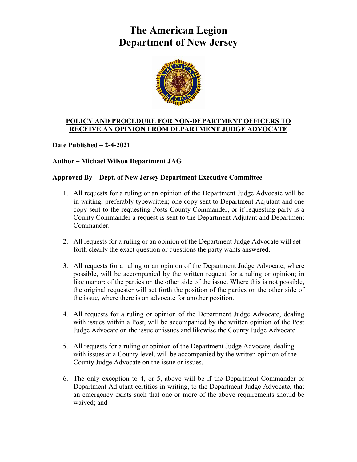## **The American Legion Department of New Jersey**



## **POLICY AND PROCEDURE FOR NON-DEPARTMENT OFFICERS TO RECEIVE AN OPINION FROM DEPARTMENT JUDGE ADVOCATE**

**Date Published – 2-4-2021**

## **Author – Michael Wilson Department JAG**

## **Approved By – Dept. of New Jersey Department Executive Committee**

- 1. All requests for a ruling or an opinion of the Department Judge Advocate will be in writing; preferably typewritten; one copy sent to Department Adjutant and one copy sent to the requesting Posts County Commander, or if requesting party is a County Commander a request is sent to the Department Adjutant and Department Commander.
- 2. All requests for a ruling or an opinion of the Department Judge Advocate will set forth clearly the exact question or questions the party wants answered.
- 3. All requests for a ruling or an opinion of the Department Judge Advocate, where possible, will be accompanied by the written request for a ruling or opinion; in like manor; of the parties on the other side of the issue. Where this is not possible, the original requester will set forth the position of the parties on the other side of the issue, where there is an advocate for another position.
- 4. All requests for a ruling or opinion of the Department Judge Advocate, dealing with issues within a Post, will be accompanied by the written opinion of the Post Judge Advocate on the issue or issues and likewise the County Judge Advocate.
- 5. All requests for a ruling or opinion of the Department Judge Advocate, dealing with issues at a County level, will be accompanied by the written opinion of the County Judge Advocate on the issue or issues.
- 6. The only exception to 4, or 5, above will be if the Department Commander or Department Adjutant certifies in writing, to the Department Judge Advocate, that an emergency exists such that one or more of the above requirements should be waived; and